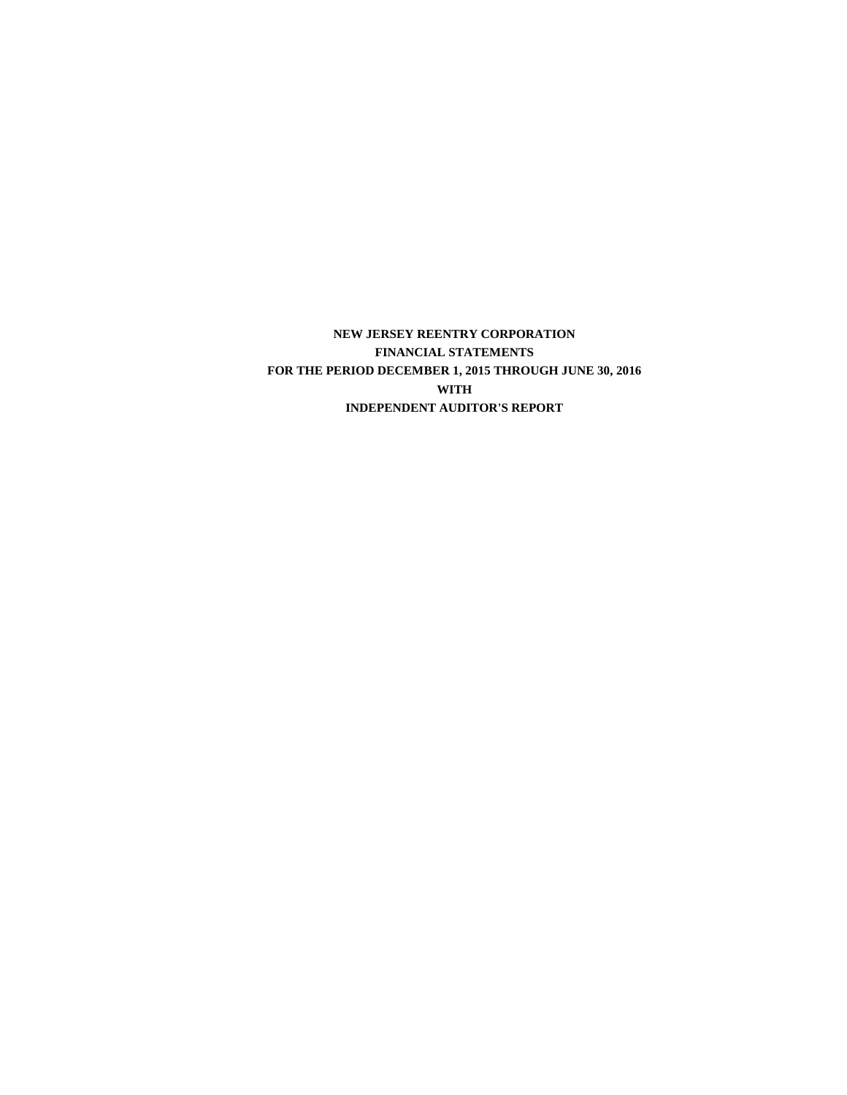**NEW JERSEY REENTRY CORPORATION FINANCIAL STATEMENTS FOR THE PERIOD DECEMBER 1, 2015 THROUGH JUNE 30, 2016 WITH INDEPENDENT AUDITOR'S REPORT**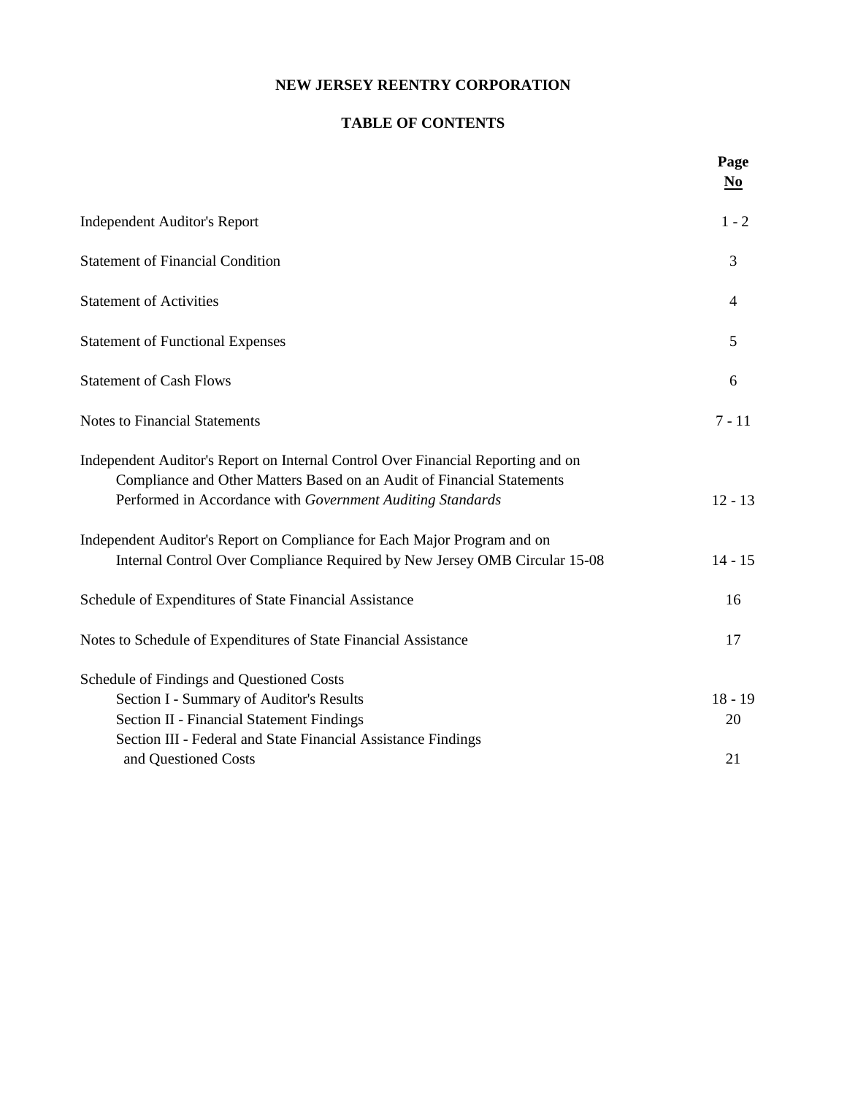### **TABLE OF CONTENTS**

|                                                                                                                                                                                                                          | Page<br>N <sub>0</sub> |
|--------------------------------------------------------------------------------------------------------------------------------------------------------------------------------------------------------------------------|------------------------|
| Independent Auditor's Report                                                                                                                                                                                             | $1 - 2$                |
| <b>Statement of Financial Condition</b>                                                                                                                                                                                  | 3                      |
| <b>Statement of Activities</b>                                                                                                                                                                                           | $\overline{4}$         |
| <b>Statement of Functional Expenses</b>                                                                                                                                                                                  | 5                      |
| <b>Statement of Cash Flows</b>                                                                                                                                                                                           | 6                      |
| <b>Notes to Financial Statements</b>                                                                                                                                                                                     | $7 - 11$               |
| Independent Auditor's Report on Internal Control Over Financial Reporting and on<br>Compliance and Other Matters Based on an Audit of Financial Statements<br>Performed in Accordance with Government Auditing Standards | $12 - 13$              |
| Independent Auditor's Report on Compliance for Each Major Program and on<br>Internal Control Over Compliance Required by New Jersey OMB Circular 15-08                                                                   | $14 - 15$              |
| Schedule of Expenditures of State Financial Assistance                                                                                                                                                                   | 16                     |
| Notes to Schedule of Expenditures of State Financial Assistance                                                                                                                                                          | 17                     |
| Schedule of Findings and Questioned Costs<br>Section I - Summary of Auditor's Results<br><b>Section II - Financial Statement Findings</b>                                                                                | $18 - 19$<br>20        |
| Section III - Federal and State Financial Assistance Findings<br>and Questioned Costs                                                                                                                                    | 21                     |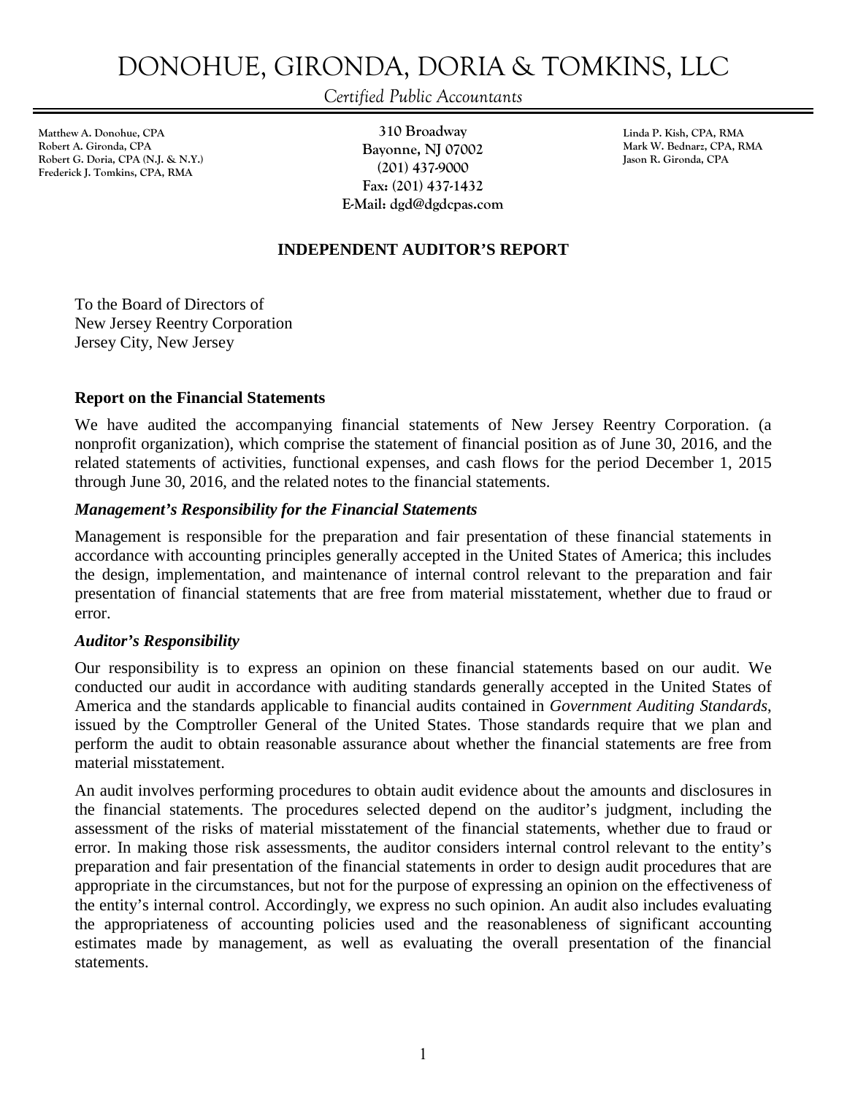*Certified Public Accountants* 

**Frederick J. Tomkins, CPA, RMA**

**310 Broadway Bayonne, NJ 07002 (201) 437-9000 Fax: (201) 437-1432 E-Mail: dgd@dgdcpas.com Matthew A. Donohue, CPA Linda P. Kish, CPA, RMA** Robert A. Gironda, CPA **Mark W. Bednarz, CPA, RMA Rayonne** NI 07002 Mark W. Bednarz, CPA, RMA **Robert G. Doria, CPA (N.J. & N.Y.) Jason R. Gironda, CPA**

### **INDEPENDENT AUDITOR'S REPORT**

To the Board of Directors of New Jersey Reentry Corporation Jersey City, New Jersey

### **Report on the Financial Statements**

We have audited the accompanying financial statements of New Jersey Reentry Corporation. (a nonprofit organization), which comprise the statement of financial position as of June 30, 2016, and the related statements of activities, functional expenses, and cash flows for the period December 1, 2015 through June 30, 2016, and the related notes to the financial statements.

### *Management's Responsibility for the Financial Statements*

Management is responsible for the preparation and fair presentation of these financial statements in accordance with accounting principles generally accepted in the United States of America; this includes the design, implementation, and maintenance of internal control relevant to the preparation and fair presentation of financial statements that are free from material misstatement, whether due to fraud or error.

### *Auditor's Responsibility*

Our responsibility is to express an opinion on these financial statements based on our audit. We conducted our audit in accordance with auditing standards generally accepted in the United States of America and the standards applicable to financial audits contained in *Government Auditing Standards*, issued by the Comptroller General of the United States. Those standards require that we plan and perform the audit to obtain reasonable assurance about whether the financial statements are free from material misstatement.

An audit involves performing procedures to obtain audit evidence about the amounts and disclosures in the financial statements. The procedures selected depend on the auditor's judgment, including the assessment of the risks of material misstatement of the financial statements, whether due to fraud or error. In making those risk assessments, the auditor considers internal control relevant to the entity's preparation and fair presentation of the financial statements in order to design audit procedures that are appropriate in the circumstances, but not for the purpose of expressing an opinion on the effectiveness of the entity's internal control. Accordingly, we express no such opinion. An audit also includes evaluating the appropriateness of accounting policies used and the reasonableness of significant accounting estimates made by management, as well as evaluating the overall presentation of the financial statements.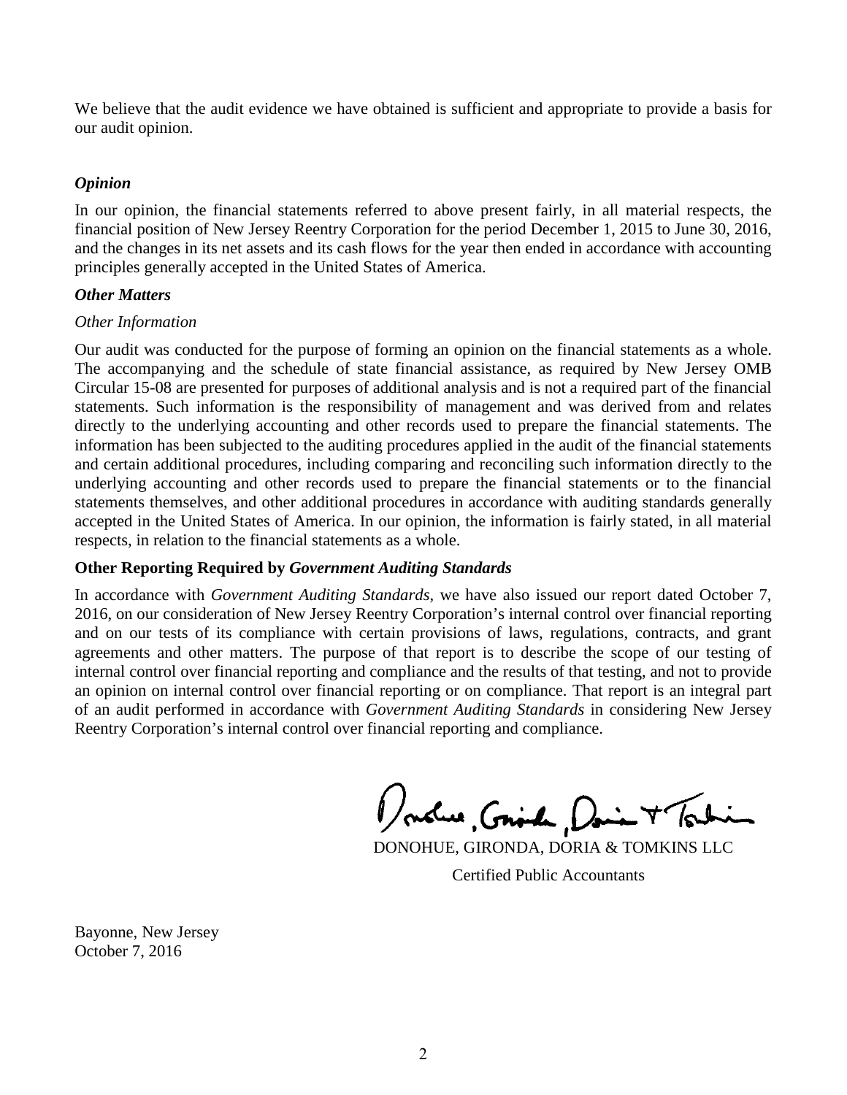We believe that the audit evidence we have obtained is sufficient and appropriate to provide a basis for our audit opinion.

### *Opinion*

In our opinion, the financial statements referred to above present fairly, in all material respects, the financial position of New Jersey Reentry Corporation for the period December 1, 2015 to June 30, 2016, and the changes in its net assets and its cash flows for the year then ended in accordance with accounting principles generally accepted in the United States of America.

### *Other Matters*

### *Other Information*

Our audit was conducted for the purpose of forming an opinion on the financial statements as a whole. The accompanying and the schedule of state financial assistance, as required by New Jersey OMB Circular 15-08 are presented for purposes of additional analysis and is not a required part of the financial statements. Such information is the responsibility of management and was derived from and relates directly to the underlying accounting and other records used to prepare the financial statements. The information has been subjected to the auditing procedures applied in the audit of the financial statements and certain additional procedures, including comparing and reconciling such information directly to the underlying accounting and other records used to prepare the financial statements or to the financial statements themselves, and other additional procedures in accordance with auditing standards generally accepted in the United States of America. In our opinion, the information is fairly stated, in all material respects, in relation to the financial statements as a whole.

### **Other Reporting Required by** *Government Auditing Standards*

In accordance with *Government Auditing Standards*, we have also issued our report dated October 7, 2016, on our consideration of New Jersey Reentry Corporation's internal control over financial reporting and on our tests of its compliance with certain provisions of laws, regulations, contracts, and grant agreements and other matters. The purpose of that report is to describe the scope of our testing of internal control over financial reporting and compliance and the results of that testing, and not to provide an opinion on internal control over financial reporting or on compliance. That report is an integral part of an audit performed in accordance with *Government Auditing Standards* in considering New Jersey Reentry Corporation's internal control over financial reporting and compliance.

Pourlus, Coninha, Do

DONOHUE, GIRONDA, DORIA & TOMKINS LLC Certified Public Accountants

Bayonne, New Jersey October 7, 2016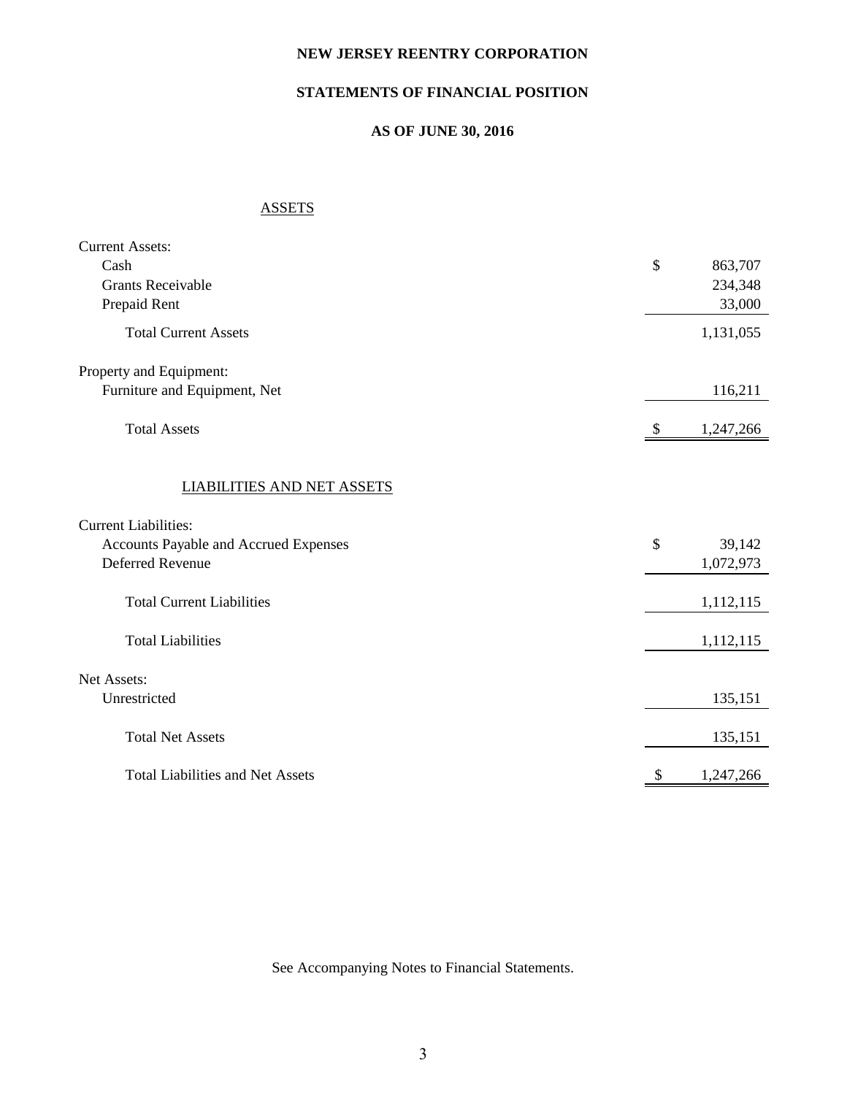### **STATEMENTS OF FINANCIAL POSITION**

### **AS OF JUNE 30, 2016**

### **ASSETS**

| <b>Current Assets:</b>                  |    |           |
|-----------------------------------------|----|-----------|
| Cash                                    | \$ | 863,707   |
| <b>Grants Receivable</b>                |    | 234,348   |
| Prepaid Rent                            |    | 33,000    |
| <b>Total Current Assets</b>             |    | 1,131,055 |
| Property and Equipment:                 |    |           |
| Furniture and Equipment, Net            |    | 116,211   |
| <b>Total Assets</b>                     | S  | 1,247,266 |
| <b>LIABILITIES AND NET ASSETS</b>       |    |           |
| <b>Current Liabilities:</b>             |    |           |
| Accounts Payable and Accrued Expenses   | \$ | 39,142    |
| Deferred Revenue                        |    | 1,072,973 |
| <b>Total Current Liabilities</b>        |    | 1,112,115 |
| <b>Total Liabilities</b>                |    | 1,112,115 |
| Net Assets:                             |    |           |
| Unrestricted                            |    | 135,151   |
| <b>Total Net Assets</b>                 |    | 135,151   |
| <b>Total Liabilities and Net Assets</b> |    | 1,247,266 |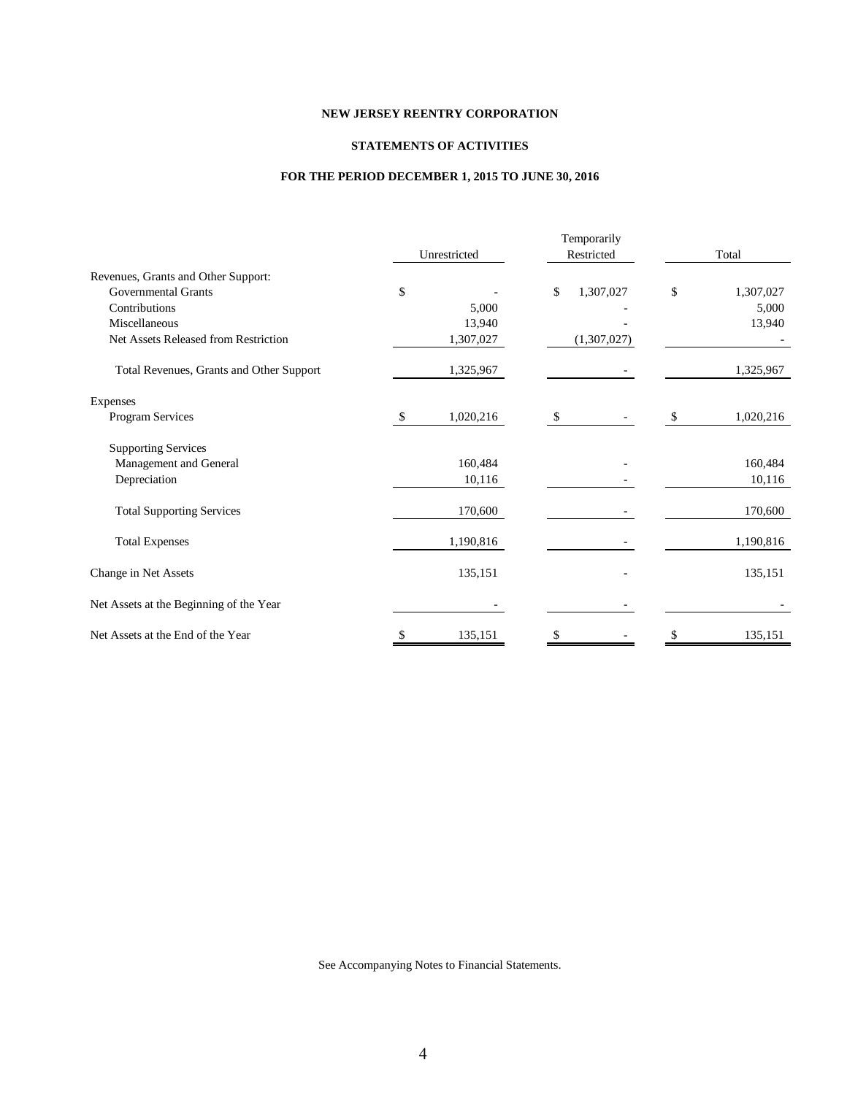### **STATEMENTS OF ACTIVITIES**

### **FOR THE PERIOD DECEMBER 1, 2015 TO JUNE 30, 2016**

|                                          |                 | Temporarily     |                 |
|------------------------------------------|-----------------|-----------------|-----------------|
|                                          | Unrestricted    | Restricted      | Total           |
| Revenues, Grants and Other Support:      |                 |                 |                 |
| <b>Governmental Grants</b>               | \$              | \$<br>1,307,027 | \$<br>1,307,027 |
| Contributions                            | 5,000           |                 | 5,000           |
| Miscellaneous                            | 13.940          |                 | 13,940          |
| Net Assets Released from Restriction     | 1,307,027       | (1,307,027)     |                 |
| Total Revenues, Grants and Other Support | 1,325,967       |                 | 1,325,967       |
| Expenses                                 |                 |                 |                 |
| Program Services                         | \$<br>1,020,216 | \$              | \$<br>1,020,216 |
| <b>Supporting Services</b>               |                 |                 |                 |
| Management and General                   | 160,484         |                 | 160,484         |
| Depreciation                             | 10,116          |                 | 10,116          |
| <b>Total Supporting Services</b>         | 170,600         |                 | 170,600         |
| <b>Total Expenses</b>                    | 1,190,816       |                 | 1,190,816       |
| Change in Net Assets                     | 135,151         |                 | 135,151         |
| Net Assets at the Beginning of the Year  |                 |                 |                 |
| Net Assets at the End of the Year        | 135,151         |                 | 135,151         |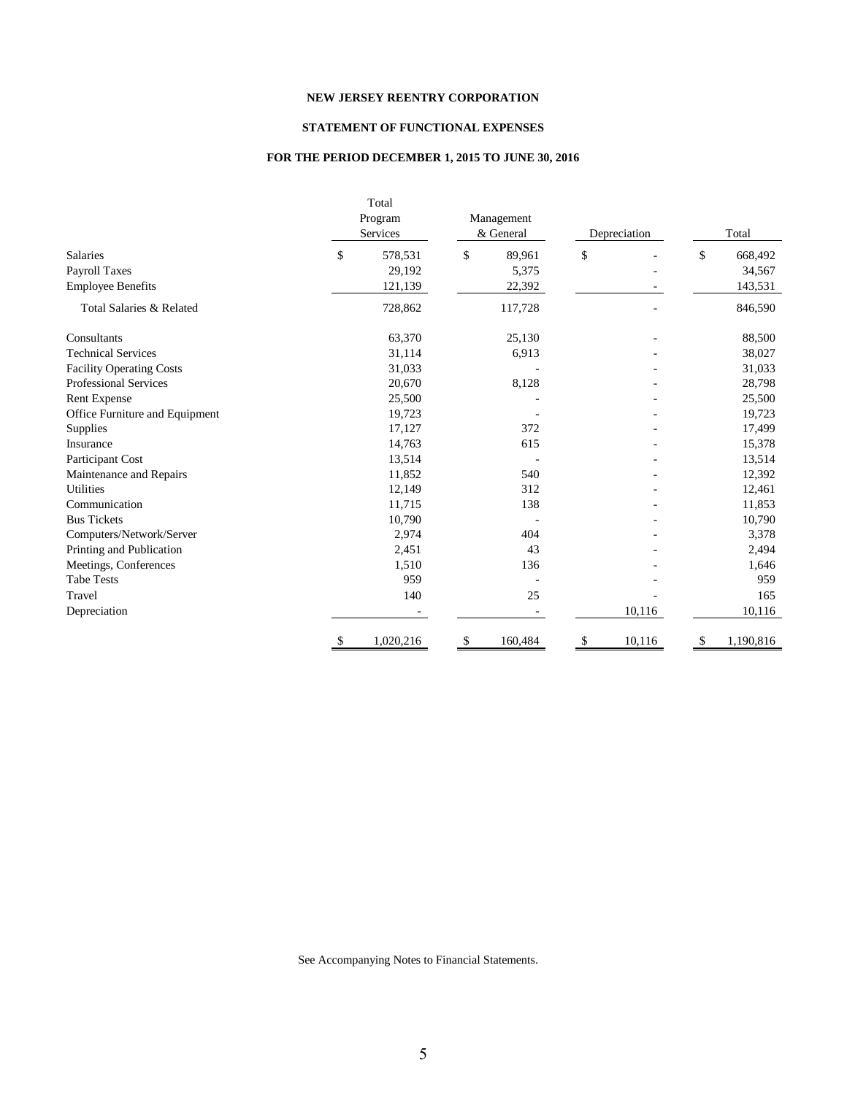### **STATEMENT OF FUNCTIONAL EXPENSES**

### **FOR THE PERIOD DECEMBER 1, 2015 TO JUNE 30, 2016**

|                                | Total<br>Program<br>Services | Management<br>& General  | Depreciation | Total           |
|--------------------------------|------------------------------|--------------------------|--------------|-----------------|
| <b>Salaries</b>                | \$<br>578,531                | \$<br>89,961             | \$<br>L,     | \$<br>668,492   |
| <b>Payroll Taxes</b>           | 29,192                       | 5,375                    |              | 34,567          |
| <b>Employee Benefits</b>       | 121,139                      | 22,392                   |              | 143,531         |
| Total Salaries & Related       | 728,862                      | 117,728                  |              | 846,590         |
| Consultants                    | 63,370                       | 25,130                   |              | 88,500          |
| <b>Technical Services</b>      | 31,114                       | 6,913                    |              | 38,027          |
| Facility Operating Costs       | 31,033                       |                          |              | 31,033          |
| <b>Professional Services</b>   | 20,670                       | 8,128                    |              | 28,798          |
| Rent Expense                   | 25,500                       |                          |              | 25,500          |
| Office Furniture and Equipment | 19,723                       |                          |              | 19,723          |
| Supplies                       | 17,127                       | 372                      |              | 17,499          |
| Insurance                      | 14,763                       | 615                      |              | 15,378          |
| Participant Cost               | 13,514                       |                          |              | 13,514          |
| Maintenance and Repairs        | 11,852                       | 540                      |              | 12,392          |
| <b>Utilities</b>               | 12,149                       | 312                      |              | 12,461          |
| Communication                  | 11,715                       | 138                      |              | 11,853          |
| <b>Bus Tickets</b>             | 10,790                       |                          |              | 10,790          |
| Computers/Network/Server       | 2,974                        | 404                      |              | 3,378           |
| Printing and Publication       | 2,451                        | 43                       |              | 2,494           |
| Meetings, Conferences          | 1,510                        | 136                      |              | 1,646           |
| <b>Tabe Tests</b>              | 959                          |                          |              | 959             |
| Travel                         | 140                          | 25                       |              | 165             |
| Depreciation                   |                              | $\overline{\phantom{a}}$ | 10,116       | 10,116          |
|                                | \$<br>1,020,216              | \$<br>160,484            | \$<br>10,116 | \$<br>1,190,816 |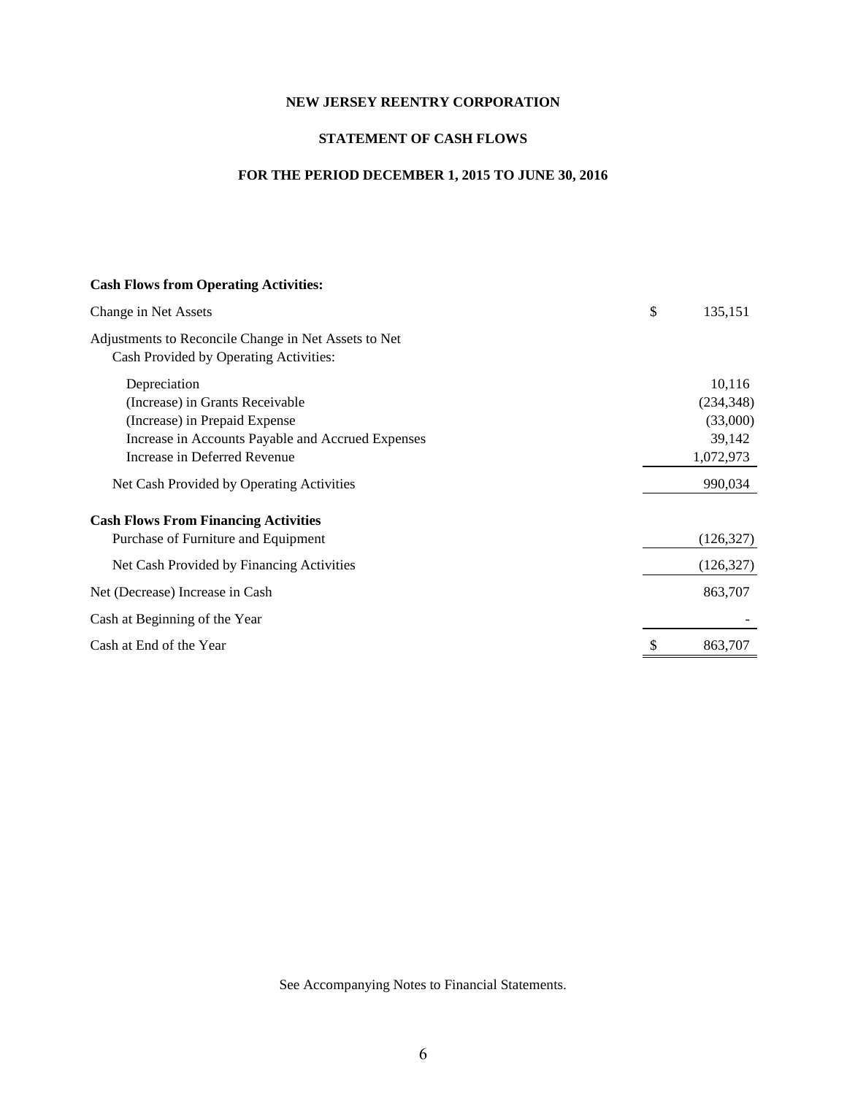### **STATEMENT OF CASH FLOWS**

### **FOR THE PERIOD DECEMBER 1, 2015 TO JUNE 30, 2016**

| <b>Cash Flows from Operating Activities:</b>         |               |
|------------------------------------------------------|---------------|
| Change in Net Assets                                 | \$<br>135,151 |
| Adjustments to Reconcile Change in Net Assets to Net |               |
| Cash Provided by Operating Activities:               |               |
| Depreciation                                         | 10,116        |
| (Increase) in Grants Receivable                      | (234, 348)    |
| (Increase) in Prepaid Expense                        | (33,000)      |
| Increase in Accounts Payable and Accrued Expenses    | 39,142        |
| Increase in Deferred Revenue                         | 1,072,973     |
| Net Cash Provided by Operating Activities            | 990,034       |
| <b>Cash Flows From Financing Activities</b>          |               |
| Purchase of Furniture and Equipment                  | (126, 327)    |
| Net Cash Provided by Financing Activities            | (126, 327)    |
| Net (Decrease) Increase in Cash                      | 863,707       |
| Cash at Beginning of the Year                        |               |
| Cash at End of the Year                              | 863,707       |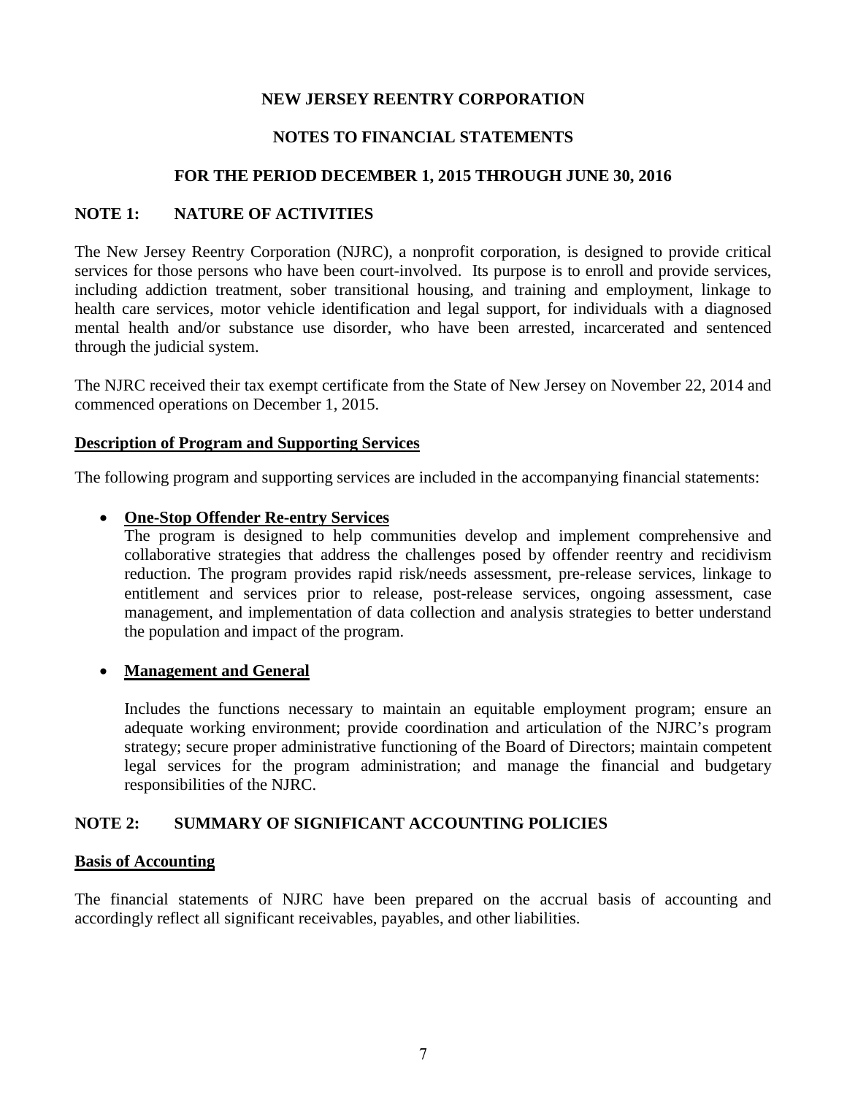### **NOTES TO FINANCIAL STATEMENTS**

### **FOR THE PERIOD DECEMBER 1, 2015 THROUGH JUNE 30, 2016**

### **NOTE 1: NATURE OF ACTIVITIES**

The New Jersey Reentry Corporation (NJRC), a nonprofit corporation, is designed to provide critical services for those persons who have been court-involved. Its purpose is to enroll and provide services, including addiction treatment, sober transitional housing, and training and employment, linkage to health care services, motor vehicle identification and legal support, for individuals with a diagnosed mental health and/or substance use disorder, who have been arrested, incarcerated and sentenced through the judicial system.

The NJRC received their tax exempt certificate from the State of New Jersey on November 22, 2014 and commenced operations on December 1, 2015.

### **Description of Program and Supporting Services**

The following program and supporting services are included in the accompanying financial statements:

### • **One-Stop Offender Re-entry Services**

The program is designed to help communities develop and implement comprehensive and collaborative strategies that address the challenges posed by offender reentry and recidivism reduction. The program provides rapid risk/needs assessment, pre-release services, linkage to entitlement and services prior to release, post-release services, ongoing assessment, case management, and implementation of data collection and analysis strategies to better understand the population and impact of the program.

### • **Management and General**

Includes the functions necessary to maintain an equitable employment program; ensure an adequate working environment; provide coordination and articulation of the NJRC's program strategy; secure proper administrative functioning of the Board of Directors; maintain competent legal services for the program administration; and manage the financial and budgetary responsibilities of the NJRC.

### **NOTE 2: SUMMARY OF SIGNIFICANT ACCOUNTING POLICIES**

### **Basis of Accounting**

The financial statements of NJRC have been prepared on the accrual basis of accounting and accordingly reflect all significant receivables, payables, and other liabilities.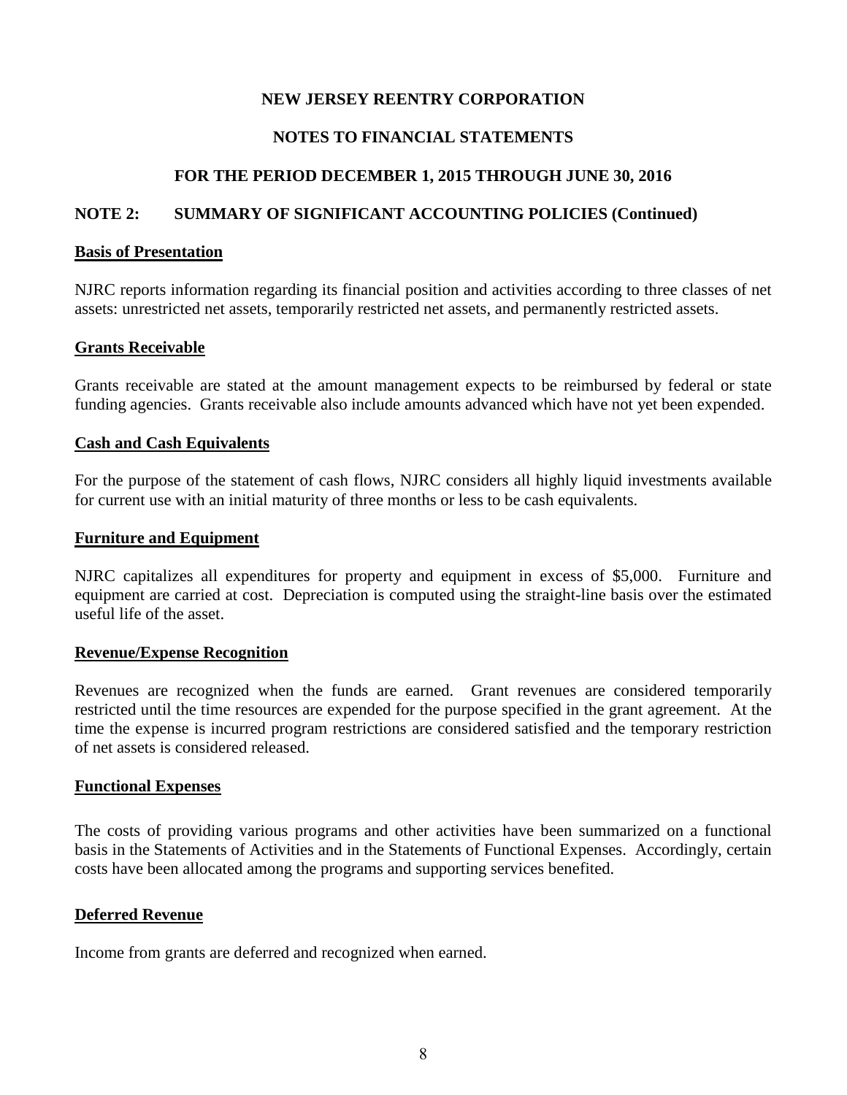### **NOTES TO FINANCIAL STATEMENTS**

### **FOR THE PERIOD DECEMBER 1, 2015 THROUGH JUNE 30, 2016**

### **NOTE 2: SUMMARY OF SIGNIFICANT ACCOUNTING POLICIES (Continued)**

### **Basis of Presentation**

NJRC reports information regarding its financial position and activities according to three classes of net assets: unrestricted net assets, temporarily restricted net assets, and permanently restricted assets.

### **Grants Receivable**

Grants receivable are stated at the amount management expects to be reimbursed by federal or state funding agencies. Grants receivable also include amounts advanced which have not yet been expended.

### **Cash and Cash Equivalents**

For the purpose of the statement of cash flows, NJRC considers all highly liquid investments available for current use with an initial maturity of three months or less to be cash equivalents.

### **Furniture and Equipment**

NJRC capitalizes all expenditures for property and equipment in excess of \$5,000. Furniture and equipment are carried at cost. Depreciation is computed using the straight-line basis over the estimated useful life of the asset.

### **Revenue/Expense Recognition**

Revenues are recognized when the funds are earned. Grant revenues are considered temporarily restricted until the time resources are expended for the purpose specified in the grant agreement. At the time the expense is incurred program restrictions are considered satisfied and the temporary restriction of net assets is considered released.

### **Functional Expenses**

The costs of providing various programs and other activities have been summarized on a functional basis in the Statements of Activities and in the Statements of Functional Expenses. Accordingly, certain costs have been allocated among the programs and supporting services benefited.

### **Deferred Revenue**

Income from grants are deferred and recognized when earned.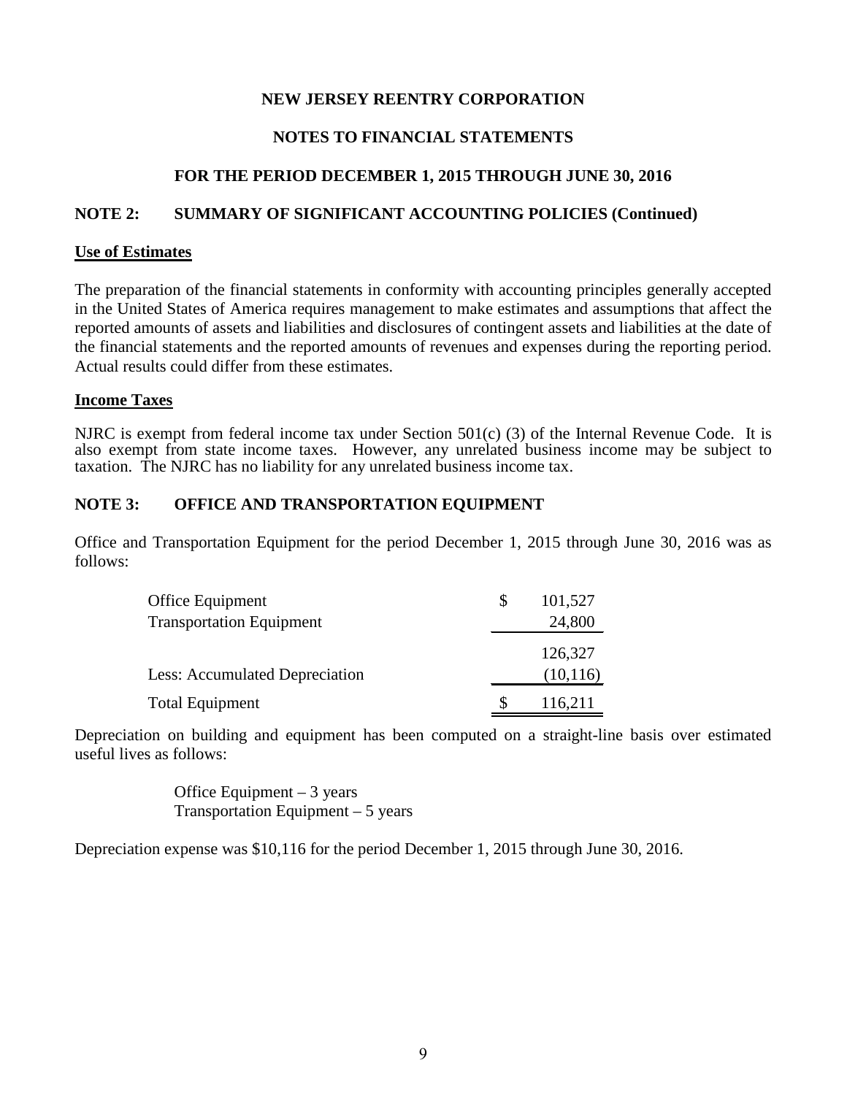### **NOTES TO FINANCIAL STATEMENTS**

### **FOR THE PERIOD DECEMBER 1, 2015 THROUGH JUNE 30, 2016**

### **NOTE 2: SUMMARY OF SIGNIFICANT ACCOUNTING POLICIES (Continued)**

### **Use of Estimates**

The preparation of the financial statements in conformity with accounting principles generally accepted in the United States of America requires management to make estimates and assumptions that affect the reported amounts of assets and liabilities and disclosures of contingent assets and liabilities at the date of the financial statements and the reported amounts of revenues and expenses during the reporting period. Actual results could differ from these estimates.

### **Income Taxes**

NJRC is exempt from federal income tax under Section 501(c) (3) of the Internal Revenue Code. It is also exempt from state income taxes. However, any unrelated business income may be subject to taxation. The NJRC has no liability for any unrelated business income tax.

### **NOTE 3: OFFICE AND TRANSPORTATION EQUIPMENT**

Office and Transportation Equipment for the period December 1, 2015 through June 30, 2016 was as follows:

| Office Equipment                      | 101,527   |
|---------------------------------------|-----------|
| <b>Transportation Equipment</b>       | 24,800    |
|                                       | 126,327   |
| <b>Less: Accumulated Depreciation</b> | (10, 116) |
| <b>Total Equipment</b>                | 116,211   |

 Depreciation on building and equipment has been computed on a straight-line basis over estimated useful lives as follows:

> Office Equipment  $-3$  years Transportation Equipment  $-5$  years

Depreciation expense was \$10,116 for the period December 1, 2015 through June 30, 2016.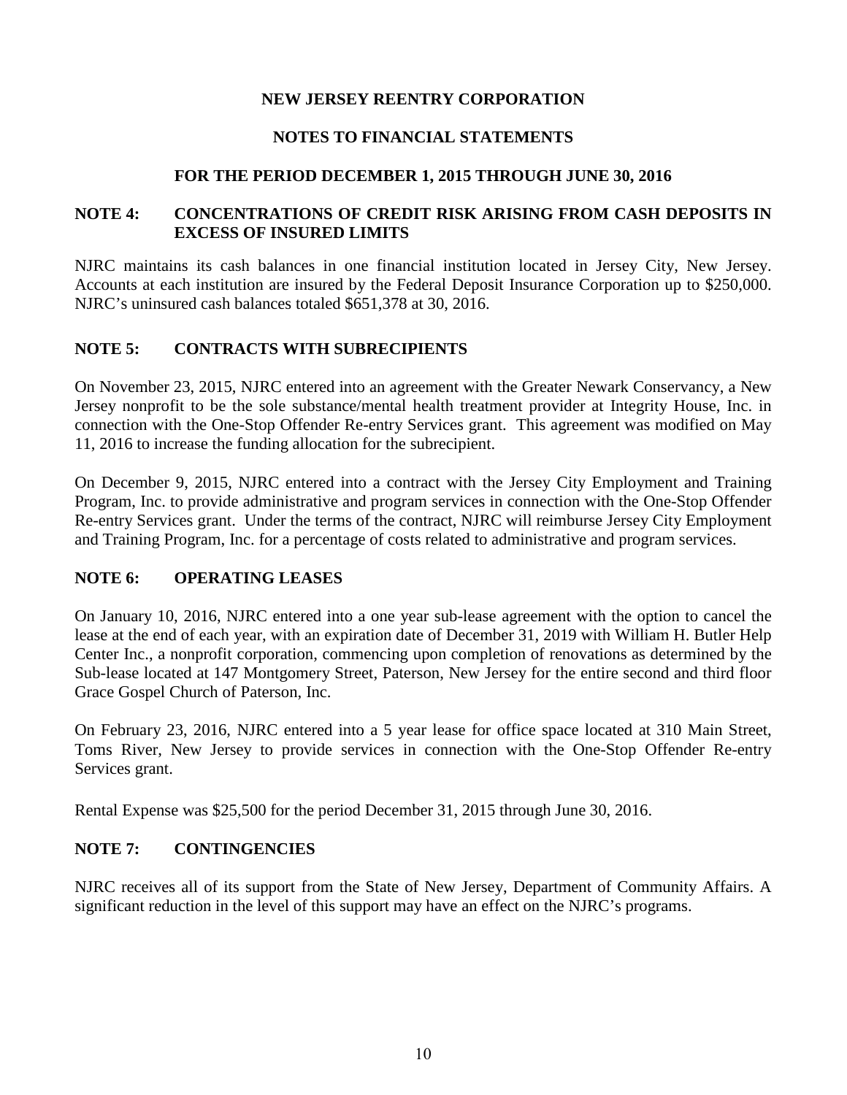### **NOTES TO FINANCIAL STATEMENTS**

### **FOR THE PERIOD DECEMBER 1, 2015 THROUGH JUNE 30, 2016**

### **NOTE 4: CONCENTRATIONS OF CREDIT RISK ARISING FROM CASH DEPOSITS IN EXCESS OF INSURED LIMITS**

NJRC maintains its cash balances in one financial institution located in Jersey City, New Jersey. Accounts at each institution are insured by the Federal Deposit Insurance Corporation up to \$250,000. NJRC's uninsured cash balances totaled \$651,378 at 30, 2016.

### **NOTE 5: CONTRACTS WITH SUBRECIPIENTS**

On November 23, 2015, NJRC entered into an agreement with the Greater Newark Conservancy, a New Jersey nonprofit to be the sole substance/mental health treatment provider at Integrity House, Inc. in connection with the One-Stop Offender Re-entry Services grant. This agreement was modified on May 11, 2016 to increase the funding allocation for the subrecipient.

On December 9, 2015, NJRC entered into a contract with the Jersey City Employment and Training Program, Inc. to provide administrative and program services in connection with the One-Stop Offender Re-entry Services grant. Under the terms of the contract, NJRC will reimburse Jersey City Employment and Training Program, Inc. for a percentage of costs related to administrative and program services.

### **NOTE 6: OPERATING LEASES**

On January 10, 2016, NJRC entered into a one year sub-lease agreement with the option to cancel the lease at the end of each year, with an expiration date of December 31, 2019 with William H. Butler Help Center Inc., a nonprofit corporation, commencing upon completion of renovations as determined by the Sub-lease located at 147 Montgomery Street, Paterson, New Jersey for the entire second and third floor Grace Gospel Church of Paterson, Inc.

On February 23, 2016, NJRC entered into a 5 year lease for office space located at 310 Main Street, Toms River, New Jersey to provide services in connection with the One-Stop Offender Re-entry Services grant.

Rental Expense was \$25,500 for the period December 31, 2015 through June 30, 2016.

### **NOTE 7: CONTINGENCIES**

NJRC receives all of its support from the State of New Jersey, Department of Community Affairs. A significant reduction in the level of this support may have an effect on the NJRC's programs.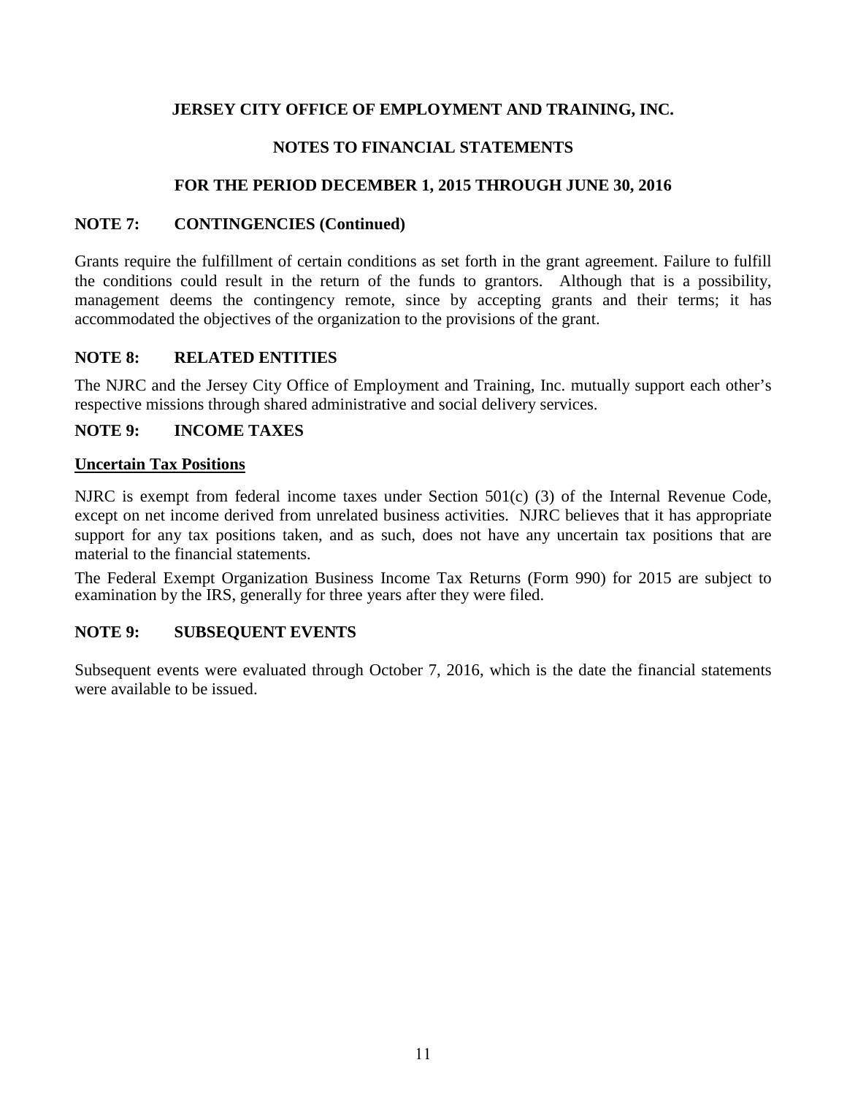### **JERSEY CITY OFFICE OF EMPLOYMENT AND TRAINING, INC.**

### **NOTES TO FINANCIAL STATEMENTS**

### **FOR THE PERIOD DECEMBER 1, 2015 THROUGH JUNE 30, 2016**

### **NOTE 7: CONTINGENCIES (Continued)**

Grants require the fulfillment of certain conditions as set forth in the grant agreement. Failure to fulfill the conditions could result in the return of the funds to grantors. Although that is a possibility, management deems the contingency remote, since by accepting grants and their terms; it has accommodated the objectives of the organization to the provisions of the grant.

### **NOTE 8: RELATED ENTITIES**

The NJRC and the Jersey City Office of Employment and Training, Inc. mutually support each other's respective missions through shared administrative and social delivery services.

### **NOTE 9: INCOME TAXES**

### **Uncertain Tax Positions**

NJRC is exempt from federal income taxes under Section 501(c) (3) of the Internal Revenue Code, except on net income derived from unrelated business activities. NJRC believes that it has appropriate support for any tax positions taken, and as such, does not have any uncertain tax positions that are material to the financial statements.

The Federal Exempt Organization Business Income Tax Returns (Form 990) for 2015 are subject to examination by the IRS, generally for three years after they were filed.

### **NOTE 9: SUBSEQUENT EVENTS**

Subsequent events were evaluated through October 7, 2016, which is the date the financial statements were available to be issued.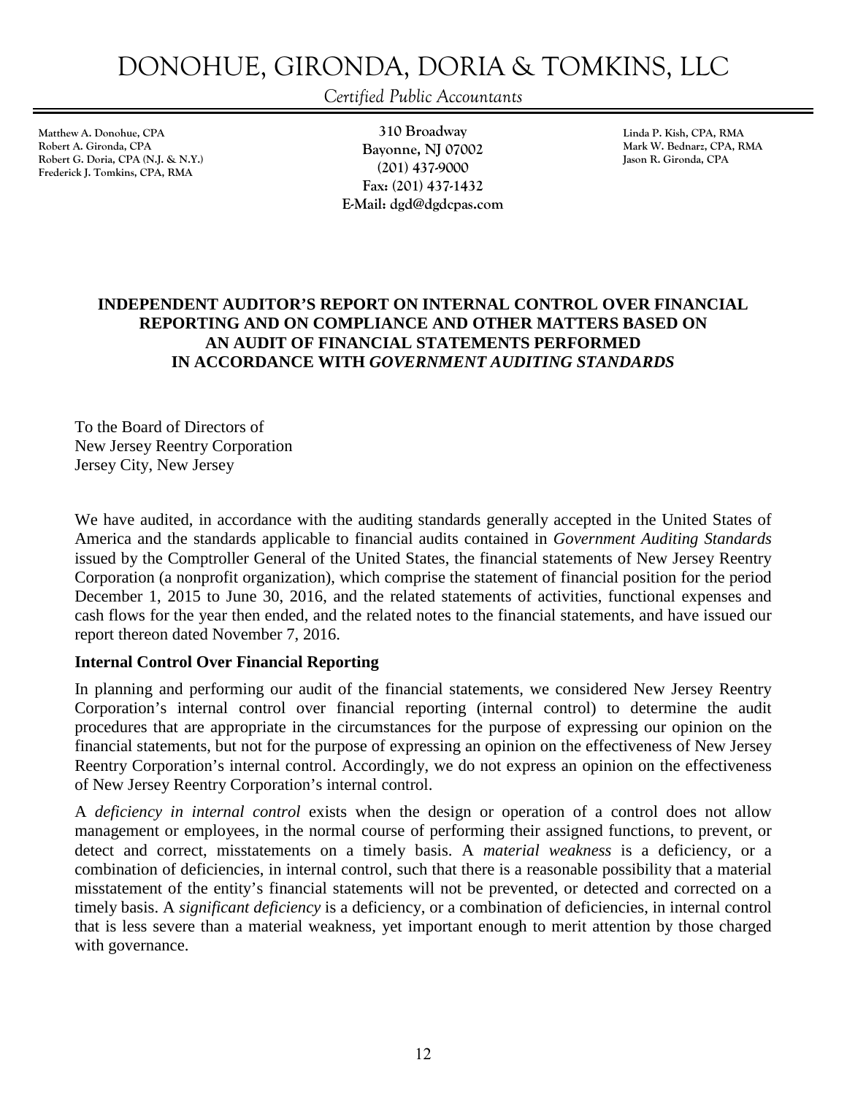*Certified Public Accountants* 

**Frederick J. Tomkins, CPA, RMA**

**310 Broadway Bayonne, NJ 07002 (201) 437-9000 Fax: (201) 437-1432 E-Mail: dgd@dgdcpas.com Matthew A. Donohue, CPA Linda P. Kish, CPA, RMA** Robert A. Gironda, CPA **Mark W. Bednarz, CPA, RMA Rayonne** NI 07002 Mark W. Bednarz, CPA, RMA **Robert G. Doria, CPA (N.J. & N.Y.) Jason R. Gironda, CPA**

### **INDEPENDENT AUDITOR'S REPORT ON INTERNAL CONTROL OVER FINANCIAL REPORTING AND ON COMPLIANCE AND OTHER MATTERS BASED ON AN AUDIT OF FINANCIAL STATEMENTS PERFORMED IN ACCORDANCE WITH** *GOVERNMENT AUDITING STANDARDS*

To the Board of Directors of New Jersey Reentry Corporation Jersey City, New Jersey

We have audited, in accordance with the auditing standards generally accepted in the United States of America and the standards applicable to financial audits contained in *Government Auditing Standards* issued by the Comptroller General of the United States, the financial statements of New Jersey Reentry Corporation (a nonprofit organization), which comprise the statement of financial position for the period December 1, 2015 to June 30, 2016, and the related statements of activities, functional expenses and cash flows for the year then ended, and the related notes to the financial statements, and have issued our report thereon dated November 7, 2016.

### **Internal Control Over Financial Reporting**

In planning and performing our audit of the financial statements, we considered New Jersey Reentry Corporation's internal control over financial reporting (internal control) to determine the audit procedures that are appropriate in the circumstances for the purpose of expressing our opinion on the financial statements, but not for the purpose of expressing an opinion on the effectiveness of New Jersey Reentry Corporation's internal control. Accordingly, we do not express an opinion on the effectiveness of New Jersey Reentry Corporation's internal control.

A *deficiency in internal control* exists when the design or operation of a control does not allow management or employees, in the normal course of performing their assigned functions, to prevent, or detect and correct, misstatements on a timely basis. A *material weakness* is a deficiency, or a combination of deficiencies, in internal control, such that there is a reasonable possibility that a material misstatement of the entity's financial statements will not be prevented, or detected and corrected on a timely basis. A *significant deficiency* is a deficiency, or a combination of deficiencies, in internal control that is less severe than a material weakness, yet important enough to merit attention by those charged with governance.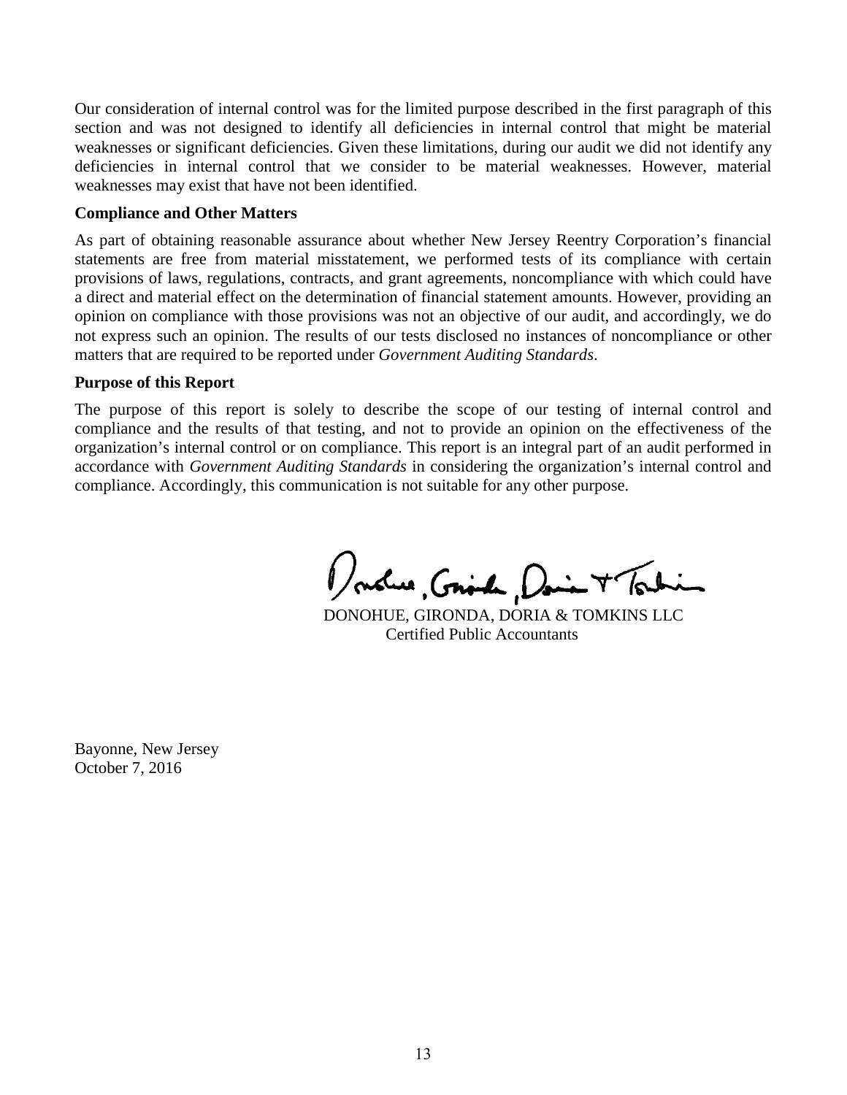Our consideration of internal control was for the limited purpose described in the first paragraph of this section and was not designed to identify all deficiencies in internal control that might be material weaknesses or significant deficiencies. Given these limitations, during our audit we did not identify any deficiencies in internal control that we consider to be material weaknesses. However, material weaknesses may exist that have not been identified.

### **Compliance and Other Matters**

As part of obtaining reasonable assurance about whether New Jersey Reentry Corporation's financial statements are free from material misstatement, we performed tests of its compliance with certain provisions of laws, regulations, contracts, and grant agreements, noncompliance with which could have a direct and material effect on the determination of financial statement amounts. However, providing an opinion on compliance with those provisions was not an objective of our audit, and accordingly, we do not express such an opinion. The results of our tests disclosed no instances of noncompliance or other matters that are required to be reported under *Government Auditing Standards*.

### **Purpose of this Report**

The purpose of this report is solely to describe the scope of our testing of internal control and compliance and the results of that testing, and not to provide an opinion on the effectiveness of the organization's internal control or on compliance. This report is an integral part of an audit performed in accordance with *Government Auditing Standards* in considering the organization's internal control and compliance. Accordingly, this communication is not suitable for any other purpose.

Donotue, Grite Dois + Tout

Certified Public Accountants

Bayonne, New Jersey October 7, 2016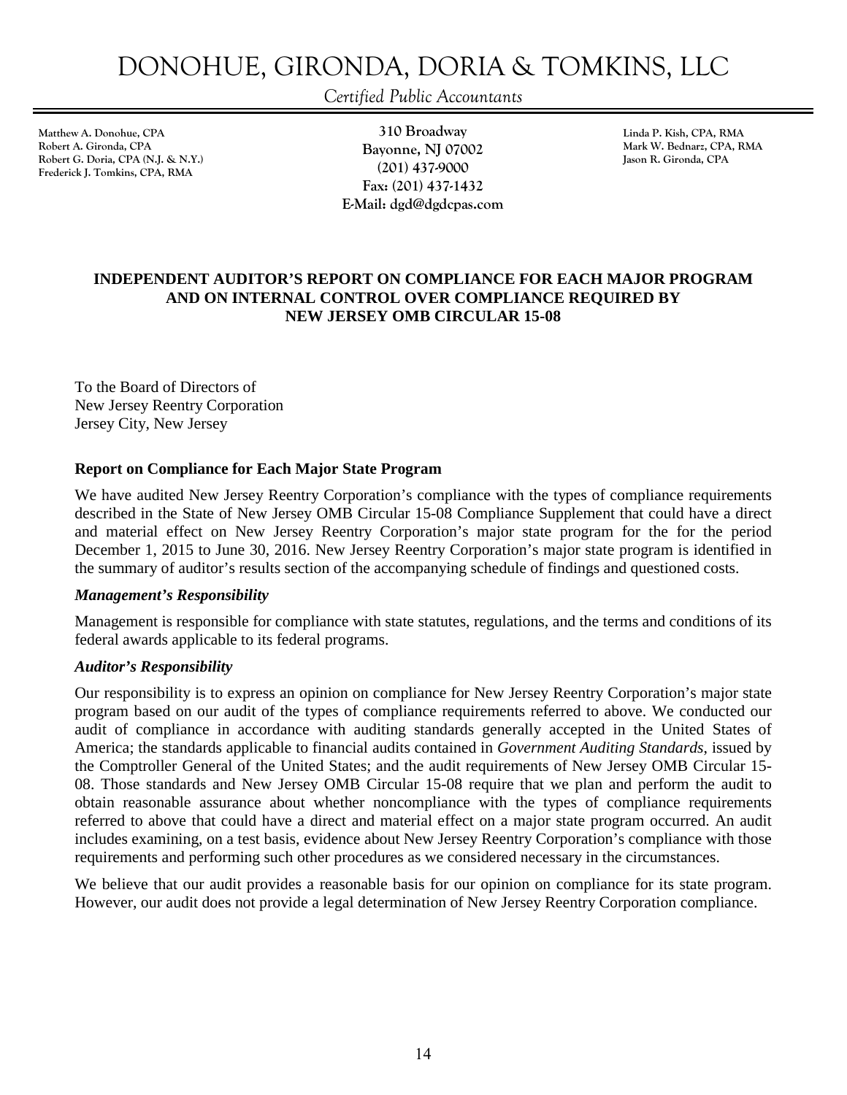*Certified Public Accountants* 

**Frederick J. Tomkins, CPA, RMA**

**310 Broadway Bayonne, NJ 07002 (201) 437-9000 Fax: (201) 437-1432 E-Mail: dgd@dgdcpas.com Matthew A. Donohue, CPA Linda P. Kish, CPA, RMA** Robert A. Gironda, CPA **Mark W. Bednarz, CPA, RMA Rayonne** NI 07002 Mark W. Bednarz, CPA, RMA **Robert G. Doria, CPA (N.J. & N.Y.) Jason R. Gironda, CPA**

### **INDEPENDENT AUDITOR'S REPORT ON COMPLIANCE FOR EACH MAJOR PROGRAM AND ON INTERNAL CONTROL OVER COMPLIANCE REQUIRED BY NEW JERSEY OMB CIRCULAR 15-08**

To the Board of Directors of New Jersey Reentry Corporation Jersey City, New Jersey

### **Report on Compliance for Each Major State Program**

We have audited New Jersey Reentry Corporation's compliance with the types of compliance requirements described in the State of New Jersey OMB Circular 15-08 Compliance Supplement that could have a direct and material effect on New Jersey Reentry Corporation's major state program for the for the period December 1, 2015 to June 30, 2016. New Jersey Reentry Corporation's major state program is identified in the summary of auditor's results section of the accompanying schedule of findings and questioned costs.

### *Management's Responsibility*

Management is responsible for compliance with state statutes, regulations, and the terms and conditions of its federal awards applicable to its federal programs.

### *Auditor's Responsibility*

Our responsibility is to express an opinion on compliance for New Jersey Reentry Corporation's major state program based on our audit of the types of compliance requirements referred to above. We conducted our audit of compliance in accordance with auditing standards generally accepted in the United States of America; the standards applicable to financial audits contained in *Government Auditing Standards*, issued by the Comptroller General of the United States; and the audit requirements of New Jersey OMB Circular 15- 08. Those standards and New Jersey OMB Circular 15-08 require that we plan and perform the audit to obtain reasonable assurance about whether noncompliance with the types of compliance requirements referred to above that could have a direct and material effect on a major state program occurred. An audit includes examining, on a test basis, evidence about New Jersey Reentry Corporation's compliance with those requirements and performing such other procedures as we considered necessary in the circumstances.

We believe that our audit provides a reasonable basis for our opinion on compliance for its state program. However, our audit does not provide a legal determination of New Jersey Reentry Corporation compliance.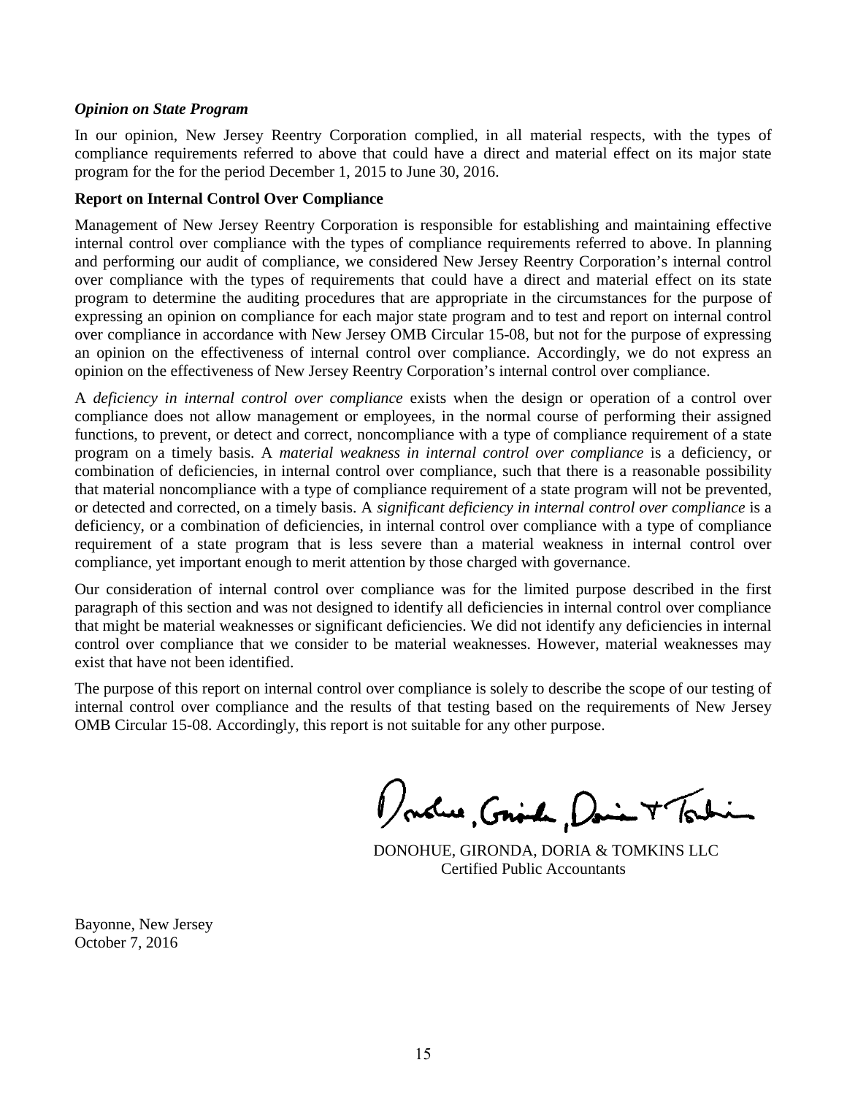### *Opinion on State Program*

In our opinion, New Jersey Reentry Corporation complied, in all material respects, with the types of compliance requirements referred to above that could have a direct and material effect on its major state program for the for the period December 1, 2015 to June 30, 2016.

### **Report on Internal Control Over Compliance**

Management of New Jersey Reentry Corporation is responsible for establishing and maintaining effective internal control over compliance with the types of compliance requirements referred to above. In planning and performing our audit of compliance, we considered New Jersey Reentry Corporation's internal control over compliance with the types of requirements that could have a direct and material effect on its state program to determine the auditing procedures that are appropriate in the circumstances for the purpose of expressing an opinion on compliance for each major state program and to test and report on internal control over compliance in accordance with New Jersey OMB Circular 15-08, but not for the purpose of expressing an opinion on the effectiveness of internal control over compliance. Accordingly, we do not express an opinion on the effectiveness of New Jersey Reentry Corporation's internal control over compliance.

A *deficiency in internal control over compliance* exists when the design or operation of a control over compliance does not allow management or employees, in the normal course of performing their assigned functions, to prevent, or detect and correct, noncompliance with a type of compliance requirement of a state program on a timely basis. A *material weakness in internal control over compliance* is a deficiency, or combination of deficiencies, in internal control over compliance, such that there is a reasonable possibility that material noncompliance with a type of compliance requirement of a state program will not be prevented, or detected and corrected, on a timely basis. A *significant deficiency in internal control over compliance* is a deficiency, or a combination of deficiencies, in internal control over compliance with a type of compliance requirement of a state program that is less severe than a material weakness in internal control over compliance, yet important enough to merit attention by those charged with governance.

Our consideration of internal control over compliance was for the limited purpose described in the first paragraph of this section and was not designed to identify all deficiencies in internal control over compliance that might be material weaknesses or significant deficiencies. We did not identify any deficiencies in internal control over compliance that we consider to be material weaknesses. However, material weaknesses may exist that have not been identified.

The purpose of this report on internal control over compliance is solely to describe the scope of our testing of internal control over compliance and the results of that testing based on the requirements of New Jersey OMB Circular 15-08. Accordingly, this report is not suitable for any other purpose.

Pourles, Grish, Davie + Toutie

DONOHUE, GIRONDA, DORIA & TOMKINS LLC Certified Public Accountants

Bayonne, New Jersey October 7, 2016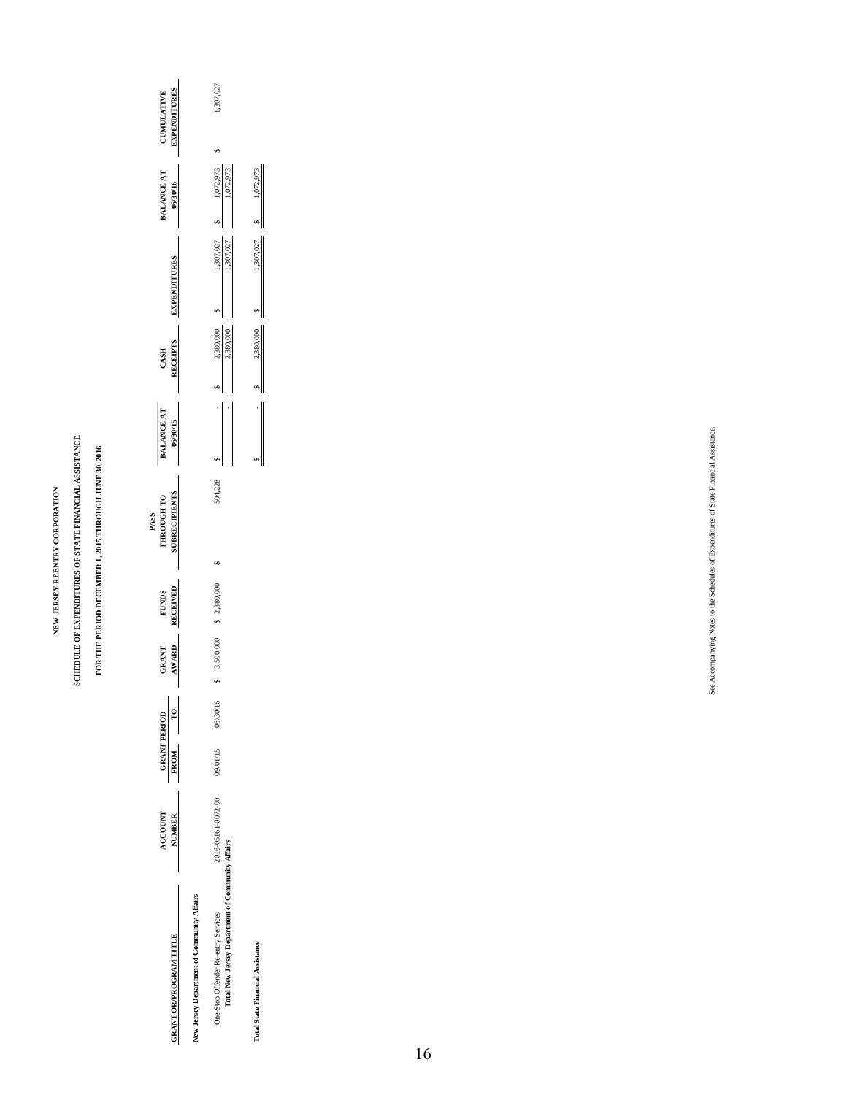### NEW JERSEY REENTRY CORPORATION **NEW JERSEY REENTRY CORPORATION**

# SCHEDULE OF EXPENDITURES OF STATE FINANCIAL ASSISTANCE **SCHEDULE OF EXPENDITURES OF STATE FINANCIAL ASSISTANCE**

## FOR THE PERIOD DECEMBER 1, 2015 THROUGH JUNE 30, 2016 **FOR THE PERIOD DECEMBER 1, 2015 THROUGH JUNE 30, 2016**

|                                                  |                    |                         |          |              |              | PASS                 |                        |                 |                    |           |                    |                                          |  |
|--------------------------------------------------|--------------------|-------------------------|----------|--------------|--------------|----------------------|------------------------|-----------------|--------------------|-----------|--------------------|------------------------------------------|--|
|                                                  |                    |                         |          | <b>GRANT</b> | <b>FUNDS</b> | <b>THROUGH TO</b>    |                        | CASH            |                    |           | <b>BALANCE AT</b>  |                                          |  |
| <b>GRANT OR/PROGRAM TITLE</b>                    | ACCOUNT<br>NUMBER  | GRANT PERIOD<br>FROM TO |          | AWARD        | LECEIVEI     | <b>SUBRECIPIENTS</b> | BALANCE AT<br>06/30/15 | <b>RECEIPTS</b> | <b>KPENDITURES</b> |           | 06/30/16           | <b>CUMULATIVE</b><br><b>SXPENDITURES</b> |  |
| New Jersey Department of Community Affairs       |                    |                         |          |              |              |                      |                        |                 |                    |           |                    |                                          |  |
| One-Stop Offender Re-entry Services              | 2016-05161-0072-00 | 09/01/15                | 06/30/16 |              |              | 504,228              |                        | 2,380,000       | 1,307.077          |           | 1,072,973          |                                          |  |
| Total New Jersey Department of Community Affairs |                    |                         |          |              |              |                      |                        | 2,380,000       |                    | 1,307,027 | $1,072,97^{\circ}$ |                                          |  |
| <b>Total State Financial Assistance</b>          |                    |                         |          |              |              |                      |                        | 2,380,00        | 1,307,027          |           | 1,072,973          |                                          |  |

See Accompanying Notes to the Schedules of Expenditures of State Financial Assistance. See Accompanying Notes to the Schedules of Expenditures of State Financial Assistance.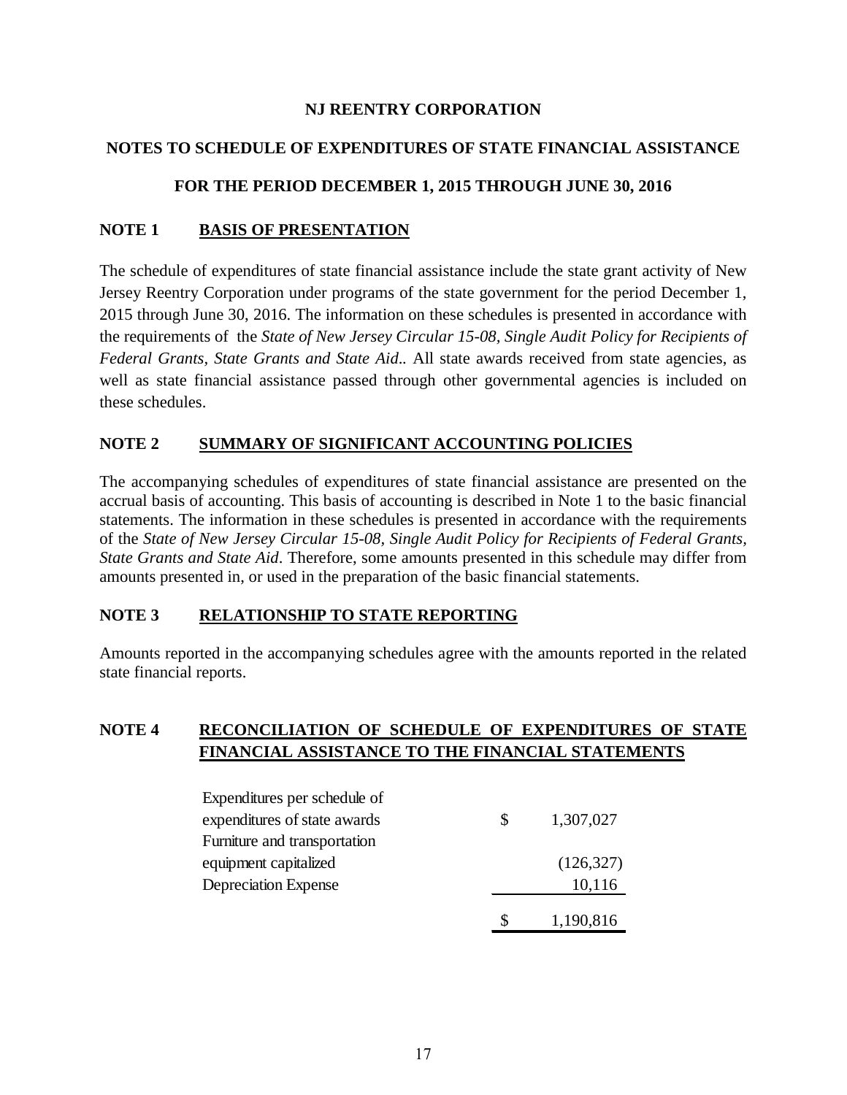### **NJ REENTRY CORPORATION**

### **NOTES TO SCHEDULE OF EXPENDITURES OF STATE FINANCIAL ASSISTANCE**

### **FOR THE PERIOD DECEMBER 1, 2015 THROUGH JUNE 30, 2016**

### **NOTE 1 BASIS OF PRESENTATION**

The schedule of expenditures of state financial assistance include the state grant activity of New Jersey Reentry Corporation under programs of the state government for the period December 1, 2015 through June 30, 2016. The information on these schedules is presented in accordance with the requirements of the *State of New Jersey Circular 15-08, Single Audit Policy for Recipients of Federal Grants, State Grants and State Aid*.*.* All state awards received from state agencies, as well as state financial assistance passed through other governmental agencies is included on these schedules.

### **NOTE 2 SUMMARY OF SIGNIFICANT ACCOUNTING POLICIES**

The accompanying schedules of expenditures of state financial assistance are presented on the accrual basis of accounting. This basis of accounting is described in Note 1 to the basic financial statements. The information in these schedules is presented in accordance with the requirements of the *State of New Jersey Circular 15-08, Single Audit Policy for Recipients of Federal Grants, State Grants and State Aid*. Therefore, some amounts presented in this schedule may differ from amounts presented in, or used in the preparation of the basic financial statements.

### **NOTE 3 RELATIONSHIP TO STATE REPORTING**

Amounts reported in the accompanying schedules agree with the amounts reported in the related state financial reports.

### **NOTE 4 RECONCILIATION OF SCHEDULE OF EXPENDITURES OF STATE FINANCIAL ASSISTANCE TO THE FINANCIAL STATEMENTS**

| Expenditures per schedule of |   |            |
|------------------------------|---|------------|
| expenditures of state awards | S | 1,307,027  |
| Furniture and transportation |   |            |
| equipment capitalized        |   | (126, 327) |
| Depreciation Expense         |   | 10,116     |
|                              | S | 1,190,816  |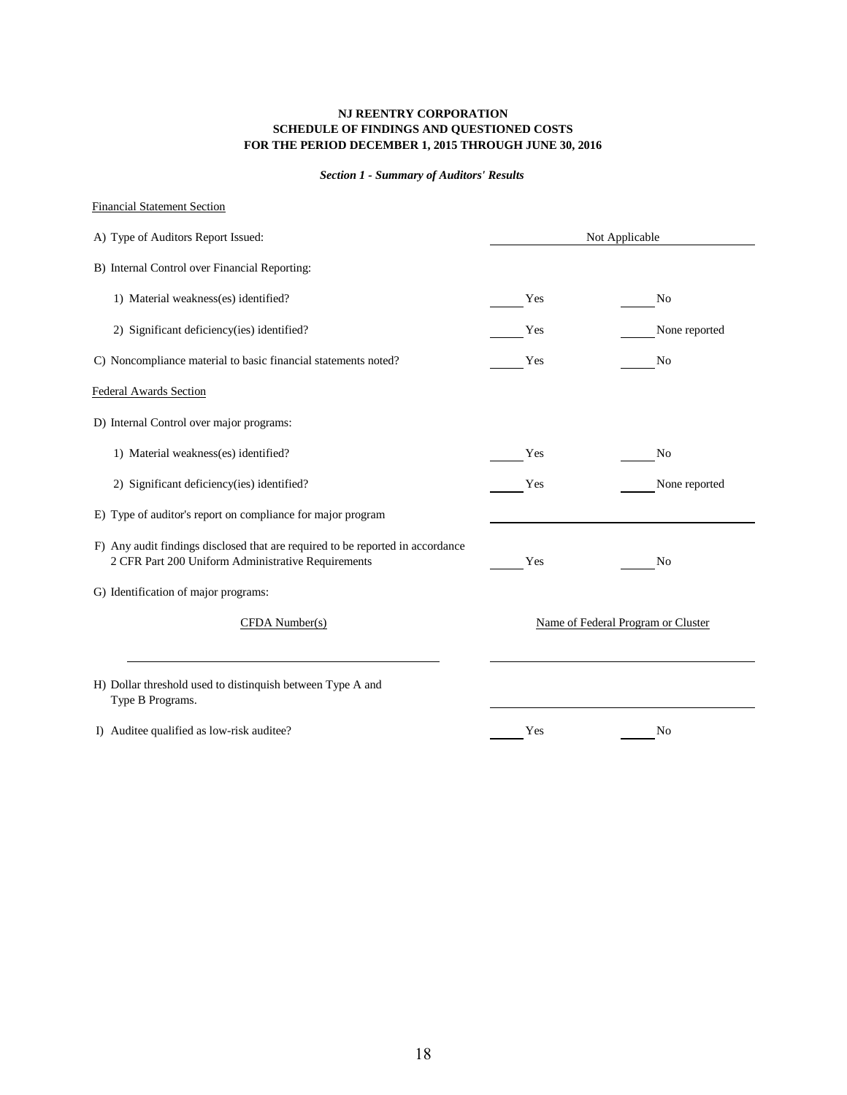### **NJ REENTRY CORPORATION SCHEDULE OF FINDINGS AND QUESTIONED COSTS FOR THE PERIOD DECEMBER 1, 2015 THROUGH JUNE 30, 2016**

*Section 1 - Summary of Auditors' Results*

### Financial Statement Section

| A) Type of Auditors Report Issued:                                                                                                   |     | Not Applicable                     |
|--------------------------------------------------------------------------------------------------------------------------------------|-----|------------------------------------|
| B) Internal Control over Financial Reporting:                                                                                        |     |                                    |
| 1) Material weakness(es) identified?                                                                                                 | Yes | No                                 |
| 2) Significant deficiency(ies) identified?                                                                                           | Yes | None reported                      |
| C) Noncompliance material to basic financial statements noted?                                                                       | Yes | No                                 |
| <b>Federal Awards Section</b>                                                                                                        |     |                                    |
| D) Internal Control over major programs:                                                                                             |     |                                    |
| 1) Material weakness(es) identified?                                                                                                 | Yes | No                                 |
| 2) Significant deficiency(ies) identified?                                                                                           | Yes | None reported                      |
| E) Type of auditor's report on compliance for major program                                                                          |     |                                    |
| F) Any audit findings disclosed that are required to be reported in accordance<br>2 CFR Part 200 Uniform Administrative Requirements | Yes | No                                 |
| G) Identification of major programs:                                                                                                 |     |                                    |
| CFDA Number(s)                                                                                                                       |     | Name of Federal Program or Cluster |
|                                                                                                                                      |     |                                    |
| H) Dollar threshold used to distinguish between Type A and<br>Type B Programs.                                                       |     |                                    |
| I) Auditee qualified as low-risk auditee?                                                                                            | Yes | No                                 |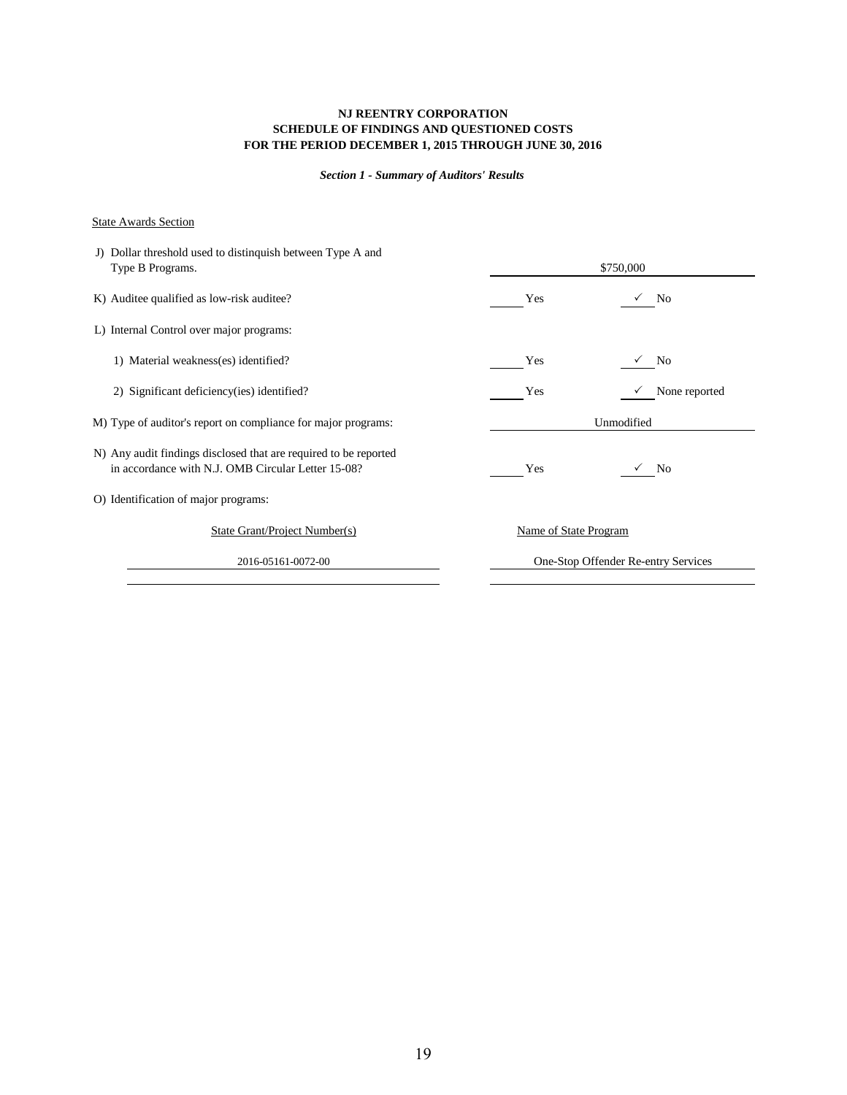### **NJ REENTRY CORPORATION SCHEDULE OF FINDINGS AND QUESTIONED COSTS FOR THE PERIOD DECEMBER 1, 2015 THROUGH JUNE 30, 2016**

*Section 1 - Summary of Auditors' Results*

### **State Awards Section**

| J) Dollar threshold used to distinguish between Type A and<br>Type B Programs.                                         |                       | \$750,000                           |
|------------------------------------------------------------------------------------------------------------------------|-----------------------|-------------------------------------|
| K) Auditee qualified as low-risk auditee?                                                                              | Yes                   | No                                  |
| L) Internal Control over major programs:                                                                               |                       |                                     |
| 1) Material weakness(es) identified?                                                                                   | Yes                   | No<br>v                             |
| 2) Significant deficiency (ies) identified?                                                                            | Yes                   | None reported                       |
| M) Type of auditor's report on compliance for major programs:                                                          |                       | Unmodified                          |
| N) Any audit findings disclosed that are required to be reported<br>in accordance with N.J. OMB Circular Letter 15-08? | Yes                   | No                                  |
| O) Identification of major programs:                                                                                   |                       |                                     |
| State Grant/Project Number(s)                                                                                          | Name of State Program |                                     |
| 2016-05161-0072-00                                                                                                     |                       | One-Stop Offender Re-entry Services |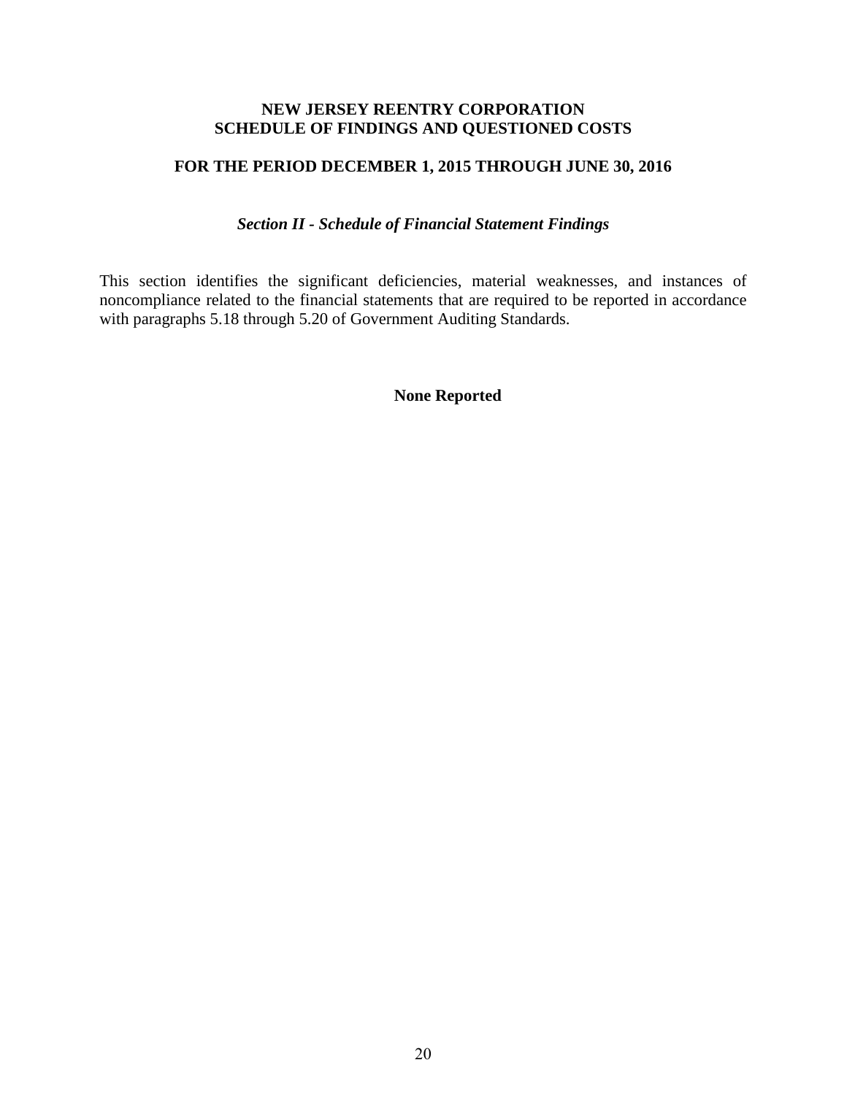### **NEW JERSEY REENTRY CORPORATION SCHEDULE OF FINDINGS AND QUESTIONED COSTS**

### **FOR THE PERIOD DECEMBER 1, 2015 THROUGH JUNE 30, 2016**

### *Section II - Schedule of Financial Statement Findings*

This section identifies the significant deficiencies, material weaknesses, and instances of noncompliance related to the financial statements that are required to be reported in accordance with paragraphs 5.18 through 5.20 of Government Auditing Standards.

### **None Reported**